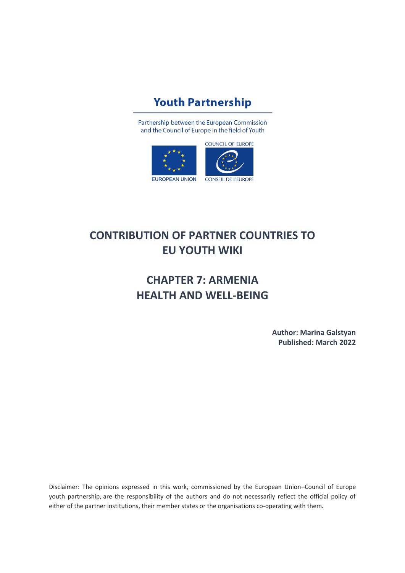## **Youth Partnership**

Partnership between the European Commission and the Council of Europe in the field of Youth



# **CONTRIBUTION OF PARTNER COUNTRIES TO EU YOUTH WIKI**

## **CHAPTER 7: ARMENIA HEALTH AND WELL-BEING**

**Author: Marina Galstyan Published: March 2022**

Disclaimer: The opinions expressed in this work, commissioned by the European Union–Council of Europe youth partnership, are the responsibility of the authors and do not necessarily reflect the official policy of either of the partner institutions, their member states or the organisations co-operating with them.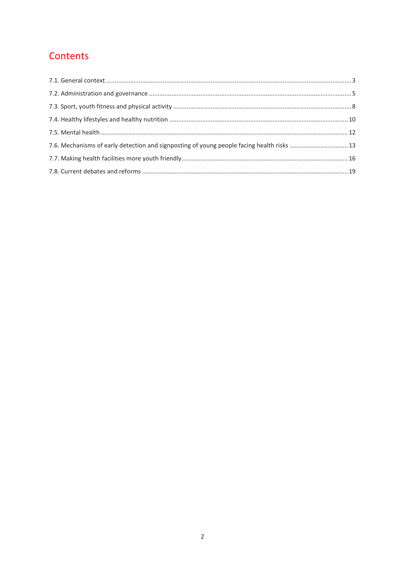## Contents

| 7.6. Mechanisms of early detection and signposting of young people facing health risks  13 |  |
|--------------------------------------------------------------------------------------------|--|
|                                                                                            |  |
|                                                                                            |  |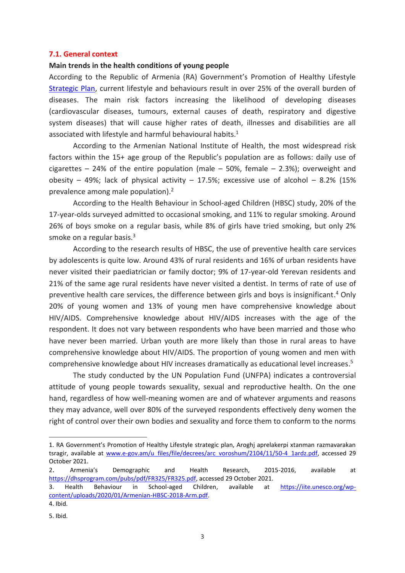#### <span id="page-2-0"></span>**7.1. General context**

#### **Main trends in the health conditions of young people**

According to the Republic of Armenia (RA) Government's Promotion of Healthy Lifestyle [Strategic Plan,](https://www.e-gov.am/u_files/file/decrees/arc_voroshum/2104/11/50-4_1ardz.pdf) current lifestyle and behaviours result in over 25% of the overall burden of diseases. The main risk factors increasing the likelihood of developing diseases (cardiovascular diseases, tumours, external causes of death, respiratory and digestive system diseases) that will cause higher rates of death, illnesses and disabilities are all associated with lifestyle and harmful behavioural habits. 1

According to the Armenian National Institute of Health, the most widespread risk factors within the 15+ age group of the Republic's population are as follows: daily use of cigarettes – 24% of the entire population (male – 50%, female – 2.3%); overweight and obesity – 49%; lack of physical activity – 17.5%; excessive use of alcohol – 8.2% (15%) prevalence among male population).<sup>2</sup>

According to the Health Behaviour in School-aged Children (HBSC) study, 20% of the 17-year-olds surveyed admitted to occasional smoking, and 11% to regular smoking. Around 26% of boys smoke on a regular basis, while 8% of girls have tried smoking, but only 2% smoke on a regular basis.<sup>3</sup>

According to the research results of HBSC, the use of preventive health care services by adolescents is quite low. Around 43% of rural residents and 16% of urban residents have never visited their paediatrician or family doctor; 9% of 17-year-old Yerevan residents and 21% of the same age rural residents have never visited a dentist. In terms of rate of use of preventive health care services, the difference between girls and boys is insignificant.<sup>4</sup> Only 20% of young women and 13% of young men have comprehensive knowledge about HIV/AIDS. Comprehensive knowledge about HIV/AIDS increases with the age of the respondent. It does not vary between respondents who have been married and those who have never been married. Urban youth are more likely than those in rural areas to have comprehensive knowledge about HIV/AIDS. The proportion of young women and men with comprehensive knowledge about HIV increases dramatically as educational level increases. 5

The study conducted by the UN Population Fund (UNFPA) indicates a controversial attitude of young people towards sexuality, sexual and reproductive health. On the one hand, regardless of how well-meaning women are and of whatever arguments and reasons they may advance, well over 80% of the surveyed respondents effectively deny women the right of control over their own bodies and sexuality and force them to conform to the norms

<sup>1.</sup> RA Government's Promotion of Healthy Lifestyle strategic plan, Aroghj aprelakerpi xtanman razmavarakan tsragir, available at [www.e-gov.am/u\\_files/file/decrees/arc\\_voroshum/2104/11/50-4\\_1ardz.pdf,](../../../../AppData/Local/Microsoft/Windows/INetCache/Content.Outlook/9IFE9BPP/www.e-gov.am/u_files/file/decrees/arc_voroshum/2104/11/50-4_1ardz.pdf) accessed 29 October 2021.

<sup>2</sup>. Armenia's Demographic and Health Research, 2015-2016, available at [https://dhsprogram.com/pubs/pdf/FR325/FR325.pdf,](https://dhsprogram.com/pubs/pdf/FR325/FR325.pdf) accessed 29 October 2021.

<sup>3.</sup> Health Behaviour in School-aged Children, available at [https://iite.unesco.org/wp](https://iite.unesco.org/wp-content/uploads/2020/01/Armenian-HBSC-2018-Arm.pdf)[content/uploads/2020/01/Armenian-HBSC-2018-Arm.pdf.](https://iite.unesco.org/wp-content/uploads/2020/01/Armenian-HBSC-2018-Arm.pdf) 4. Ibid.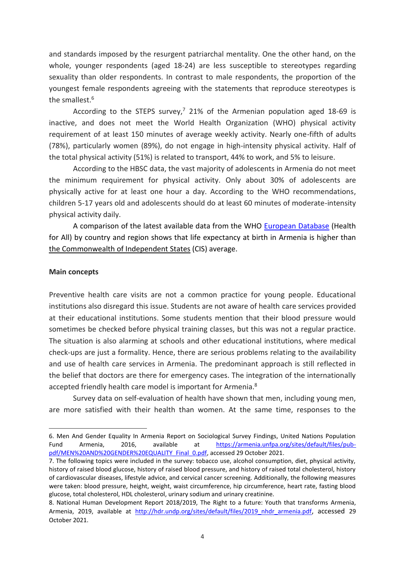and standards imposed by the resurgent patriarchal mentality. One the other hand, on the whole, younger respondents (aged 18-24) are less susceptible to stereotypes regarding sexuality than older respondents. In contrast to male respondents, the proportion of the youngest female respondents agreeing with the statements that reproduce stereotypes is the smallest. 6

According to the STEPS survey,<sup>7</sup> 21% of the Armenian population aged 18-69 is inactive, and does not meet the World Health Organization (WHO) physical activity requirement of at least 150 minutes of average weekly activity. Nearly one-fifth of adults (78%), particularly women (89%), do not engage in high-intensity physical activity. Half of the total physical activity (51%) is related to transport, 44% to work, and 5% to leisure.

According to the HBSC data, the vast majority of adolescents in Armenia do not meet the minimum requirement for physical activity. Only about 30% of adolescents are physically active for at least one hour a day. According to the WHO recommendations, children 5-17 years old and adolescents should do at least 60 minutes of moderate-intensity physical activity daily.

A comparison of the latest available data from the WHO [European Database](https://gateway.euro.who.int/en/datasets/european-health-for-all-database/) (Health for All) by country and region shows that life expectancy at birth in Armenia is higher than the [Commonwealth](http://cis.minsk.by/) of Independent States (CIS) average.

#### **Main concepts**

Preventive health care visits are not a common practice for young people. Educational institutions also disregard this issue. Students are not aware of health care services provided at their educational institutions. Some students mention that their blood pressure would sometimes be checked before physical training classes, but this was not a regular practice. The situation is also alarming at schools and other educational institutions, where medical check-ups are just a formality. Hence, there are serious problems relating to the availability and use of health care services in Armenia. The predominant approach is still reflected in the belief that doctors are there for emergency cases. The integration of the internationally accepted friendly health care model is important for Armenia.<sup>8</sup>

Survey data on self-evaluation of health have shown that men, including young men, are more satisfied with their health than women. At the same time, responses to the

<sup>6.</sup> Men And Gender Equality In Armenia Report on Sociological Survey Findings, United Nations Population Fund Armenia, 2016, available at [https://armenia.unfpa.org/sites/default/files/pub](https://armenia.unfpa.org/sites/default/files/pub-pdf/MEN%20AND%20GENDER%20EQUALITY_Final_0.pdf)[pdf/MEN%20AND%20GENDER%20EQUALITY\\_Final\\_0.pdf,](https://armenia.unfpa.org/sites/default/files/pub-pdf/MEN%20AND%20GENDER%20EQUALITY_Final_0.pdf) accessed 29 October 2021.

<sup>7.</sup> The following topics were included in the survey: tobacco use, alcohol consumption, diet, physical activity, history of raised blood glucose, history of raised blood pressure, and history of raised total cholesterol, history of cardiovascular diseases, lifestyle advice, and cervical cancer screening. Additionally, the following measures were taken: blood pressure, height, weight, waist circumference, hip circumference, heart rate, fasting blood glucose, total cholesterol, HDL cholesterol, urinary sodium and urinary creatinine.

<sup>8.</sup> National Human Development Report 2018/2019, The Right to a future: Youth that transforms Armenia, Armenia, 2019, available at http://hdr.undp.org/sites/default/files/2019 nhdr armenia.pdf, accessed 29 October 2021.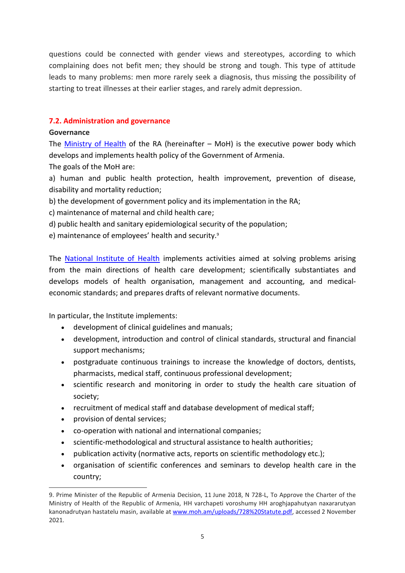questions could be connected with gender views and stereotypes, according to which complaining does not befit men; they should be strong and tough. This type of attitude leads to many problems: men more rarely seek a diagnosis, thus missing the possibility of starting to treat illnesses at their earlier stages, and rarely admit depression.

## <span id="page-4-0"></span>**7.2. Administration and governance**

#### **Governance**

The [Ministry of Health](http://www.moh.am/) of the RA (hereinafter  $-$  MoH) is the executive power body which develops and implements health policy of the Government of Armenia.

The goals of the MoH are:

a) human and public health protection, health improvement, prevention of disease, disability and mortality reduction;

b) the development of government policy and its implementation in the RA;

c) maintenance of maternal and child health care;

d) public health and sanitary epidemiological security of the population;

e) maintenance of employees' health and security.<sup>9</sup>

The [National Institute of Health](http://nih.am/am) implements activities aimed at solving problems arising from the main directions of health care development; scientifically substantiates and develops models of health organisation, management and accounting, and medicaleconomic standards; and prepares drafts of relevant normative documents․

In particular, the Institute implements:

- development of clinical guidelines and manuals;
- development, introduction and control of clinical standards, structural and financial support mechanisms;
- postgraduate continuous trainings to increase the knowledge of doctors, dentists, pharmacists, medical staff, continuous professional development;
- scientific research and monitoring in order to study the health care situation of society;
- recruitment of medical staff and database development of medical staff;
- provision of dental services;
- co-operation with national and international companies;
- scientific-methodological and structural assistance to health authorities;
- publication activity (normative acts, reports on scientific methodology etc.);
- organisation of scientific conferences and seminars to develop health care in the country;

<sup>9.</sup> Prime Minister of the Republic of Armenia Decision, 11 June 2018, N 728-L, To Approve the Charter of the Ministry of Health of the Republic of Armenia, HH varchapeti voroshumy HH aroghjapahutyan naxararutyan kanonadrutyan hastatelu masin, available at [www.moh.am/uploads/728%20Statute.pdf,](../../../../AppData/Local/Microsoft/Windows/INetCache/Content.Outlook/9IFE9BPP/www.moh.am/uploads/728%20Statute.pdf) accessed 2 November 2021.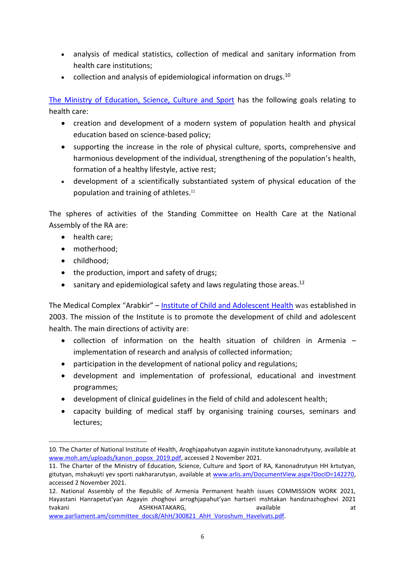- analysis of medical statistics, collection of medical and sanitary information from health care institutions;
- collection and analysis of epidemiological information on drugs.<sup>10</sup>

[The Ministry of Education, Science, Culture and Sport](https://escs.am/am) has the following goals relating to health care:

- creation and development of a modern system of population health and physical education based on science-based policy;
- supporting the increase in the role of physical culture, sports, comprehensive and harmonious development of the individual, strengthening of the population's health, formation of a healthy lifestyle, active rest;
- development of a scientifically substantiated system of physical education of the population and training of athletes. 11

The spheres of activities of the Standing Committee on Health Care at the National Assembly of the RA are:

- health care;
- motherhood;
- childhood;
- the production, import and safety of drugs;
- $\bullet$  sanitary and epidemiological safety and laws regulating those areas.<sup>12</sup>

The Medical Complex "Arabkir" – [Institute of Child and Adolescent Health](https://www.arabkirmc.am/hy/feature/edai) was established in 2003. The mission of the Institute is to promote the development of child and adolescent health. The main directions of activity are:

- collection of information on the health situation of children in Armenia implementation of research and analysis of collected information;
- participation in the development of national policy and regulations;
- development and implementation of professional, educational and investment programmes;
- development of clinical guidelines in the field of child and adolescent health;
- capacity building of medical staff by organising training courses, seminars and lectures;

<sup>10.</sup> The Charter of National Institute of Health, Аroghjapahutyan azgayin institute kanonadrutyuny, available at [www.moh.am/uploads/kanon\\_popox\\_2019.pdf,](../../../../AppData/Local/Microsoft/Windows/INetCache/Content.Outlook/9IFE9BPP/www.moh.am/uploads/kanon_popox_2019.pdf) accessed 2 November 2021.

<sup>11.</sup> The Charter of the Ministry of Education, Science, Culture and Sport of RA, Kanonadrutyun HH krtutyan, gitutyan, mshakuyti yev sporti nakhararutyan, available at [www.arlis.am/DocumentView.aspx?DocID=142270,](../../../../AppData/Local/Microsoft/Windows/INetCache/Content.Outlook/9IFE9BPP/www.arlis.am/DocumentView.aspx%3fDocID=142270) accessed 2 November 2021.

<sup>12.</sup> National Assembly of the Republic of Armenia Permanent health issues COMMISSION WORK 2021, Hayastani Hanrapetut'yan Azgayin zhoghovi arroghjapahut'yan hartseri mshtakan handznazhoghovi 2021 tvakani avalog ashkhatakard, available available at tvakani at at at tvakani at at at at at at at at at at at  $\alpha$ [www.parliament.am/committee\\_docs8/AhH/300821\\_AhH\\_Voroshum\\_Havelvats.pdf.](../../../../AppData/Local/Microsoft/Windows/INetCache/Content.Outlook/9IFE9BPP/www.parliament.am/committee_docs8/AhH/300821_AhH_Voroshum_Havelvats.pdf)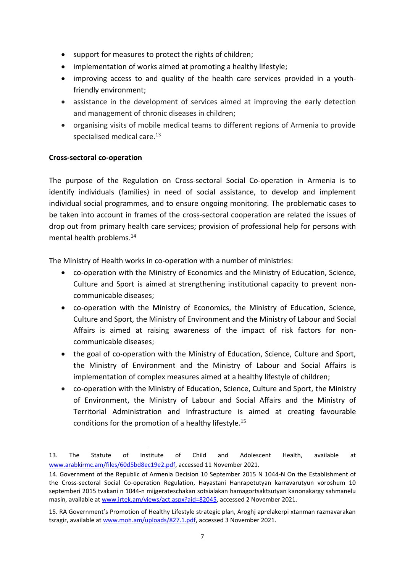- support for measures to protect the rights of children;
- implementation of works aimed at promoting a healthy lifestyle;
- improving access to and quality of the health care services provided in a youthfriendly environment;
- assistance in the development of services aimed at improving the early detection and management of chronic diseases in children;
- organising visits of mobile medical teams to different regions of Armenia to provide specialised medical care.<sup>13</sup>

## **Cross-sectoral co-operation**

The purpose of the Regulation on Cross-sectoral Social Co-operation in Armenia is to identify individuals (families) in need of social assistance, to develop and implement individual social programmes, and to ensure ongoing monitoring. The problematic cases to be taken into account in frames of the cross-sectoral cooperation are related the issues of drop out from primary health care services; provision of professional help for persons with mental health problems. 14

The Ministry of Health works in co-operation with a number of ministries:

- co-operation with the Ministry of Economics and the Ministry of Education, Science, Culture and Sport is aimed at strengthening institutional capacity to prevent noncommunicable diseases;
- co-operation with the Ministry of Economics, the Ministry of Education, Science, Culture and Sport, the [Ministry of Environment](https://www.gov.am/en/structure/274/) and the Ministry of Labour and Social Affairs is aimed at raising awareness of the impact of risk factors for noncommunicable diseases;
- the goal of co-operation with the Ministry of Education, Science, Culture and Sport, the [Ministry of Environment](https://www.gov.am/en/structure/274/) and the Ministry of Labour and Social Affairs is implementation of complex measures aimed at a healthy lifestyle of children;
- co-operation with the Ministry of Education, Science, Culture and Sport, the [Ministry](https://www.gov.am/en/structure/274/)  [of Environment,](https://www.gov.am/en/structure/274/) the Ministry of Labour and Social Affairs and the [Ministry of](https://www.gov.am/en/structure/276/)  [Territorial Administration and Infrastructure](https://www.gov.am/en/structure/276/) is aimed at creating favourable conditions for the promotion of a healthy lifestyle. 15

<sup>13.</sup> The Statute of Institute of Child and Adolescent Health, available at [www.arabkirmc.am/files/60d5bd8ec19e2.pdf,](../../../../AppData/Local/Microsoft/Windows/INetCache/Content.Outlook/9IFE9BPP/www.arabkirmc.am/files/60d5bd8ec19e2.pdf) accessed 11 November 2021.

<sup>14.</sup> Government of the Republic of Armenia Decision 10 September 2015 N 1044-N On the Establishment of the Cross-sectoral Social Co-operation Regulation, Hayastani Hanrapetutyan karravarutyun voroshum 10 septemberi 2015 tvakani n 1044-n mijgerateschakan sotsialakan hamagortsaktsutyan kanonakargy sahmanelu masin, available at [www.irtek.am/views/act.aspx?aid=82045,](../../../../AppData/Local/Microsoft/Windows/INetCache/Content.Outlook/9IFE9BPP/www.irtek.am/views/act.aspx%3faid=82045) accessed 2 November 2021.

<sup>15.</sup> RA Government's Promotion of Healthy Lifestyle strategic plan, Aroghj aprelakerpi xtanman razmavarakan tsragir, available at [www.moh.am/uploads/827.1.pdf,](../../../../AppData/Local/Microsoft/Windows/INetCache/Content.Outlook/9IFE9BPP/www.moh.am/uploads/827.1.pdf) accessed 3 November 2021.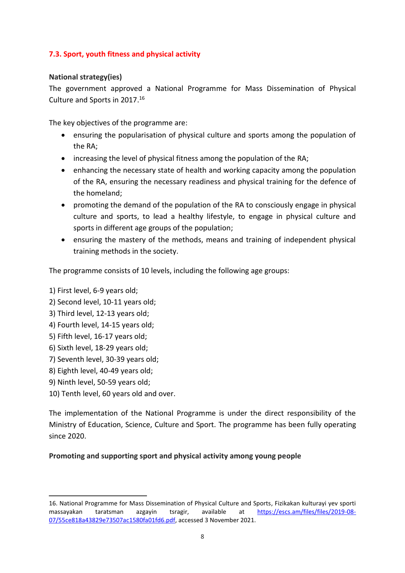## <span id="page-7-0"></span>**7.3. Sport, youth fitness and physical activity**

## **National strategy(ies)**

The government approved a National Programme for Mass Dissemination of Physical Culture and Sports in 2017. 16

The key objectives of the programme are:

- ensuring the popularisation of physical culture and sports among the population of the RA;
- increasing the level of physical fitness among the population of the RA;
- enhancing the necessary state of health and working capacity among the population of the RA, ensuring the necessary readiness and physical training for the defence of the homeland;
- promoting the demand of the population of the RA to consciously engage in physical culture and sports, to lead a healthy lifestyle, to engage in physical culture and sports in different age groups of the population;
- ensuring the mastery of the methods, means and training of independent physical training methods in the society.

The programme consists of 10 levels, including the following age groups:

- 1) First level, 6-9 years old;
- 2) Second level, 10-11 years old;
- 3) Third level, 12-13 years old;
- 4) Fourth level, 14-15 years old;
- 5) Fifth level, 16-17 years old;
- 6) Sixth level, 18-29 years old;
- 7) Seventh level, 30-39 years old;
- 8) Eighth level, 40-49 years old;
- 9) Ninth level, 50-59 years old;
- 10) Tenth level, 60 years old and over.

The implementation of the National Programme is under the direct responsibility of the Ministry of Education, Science, Culture and Sport. The programme has been fully operating since 2020.

#### **Promoting and supporting sport and physical activity among young people**

<sup>16.</sup> National Programme for Mass Dissemination of Physical Culture and Sports, Fizikakan kulturayi yev sporti massayakan taratsman azgayin tsragir, available at [https://escs.am/files/files/2019-08-](https://escs.am/files/files/2019-08-07/55ce818a43829e73507ac1580fa01fd6.pdf) [07/55ce818a43829e73507ac1580fa01fd6.pdf,](https://escs.am/files/files/2019-08-07/55ce818a43829e73507ac1580fa01fd6.pdf) accessed 3 November 2021.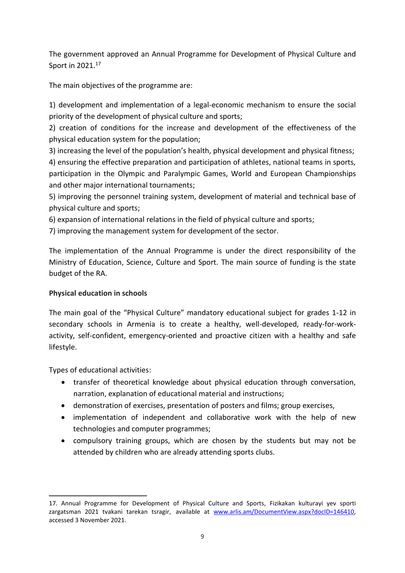The government approved an Annual Programme for Development of Physical Culture and Sport in 2021. 17

The main objectives of the programme are:

1) development and implementation of a legal-economic mechanism to ensure the social priority of the development of physical culture and sports;

2) creation of conditions for the increase and development of the effectiveness of the physical education system for the population;

3) increasing the level of the population's health, physical development and physical fitness; 4) ensuring the effective preparation and participation of athletes, national teams in sports, participation in the Olympic and Paralympic Games, World and European Championships and other major international tournaments;

5) improving the personnel training system, development of material and technical base of physical culture and sports;

6) expansion of international relations in the field of physical culture and sports;

7) improving the management system for development of the sector.

The implementation of the Annual Programme is under the direct responsibility of the Ministry of Education, Science, Culture and Sport. The main source of funding is the state budget of the RA.

## **Physical education in schools**

The main goal of the "Physical Culture" mandatory educational subject for grades 1-12 in secondary schools in Armenia is to create a healthy, well-developed, ready-for-workactivity, self-confident, emergency-oriented and proactive citizen with a healthy and safe lifestyle.

Types of educational activities:

- transfer of theoretical knowledge about physical education through conversation, narration, explanation of educational material and instructions;
- demonstration of exercises, presentation of posters and films; group exercises,
- implementation of independent and collaborative work with the help of new technologies and computer programmes;
- compulsory training groups, which are chosen by the students but may not be attended by children who are already attending sports clubs.

<sup>17.</sup> Annual Programme for Development of Physical Culture and Sports, Fizikakan kulturayi yev sporti zargatsman 2021 tvakani tarekan tsragir, available at [www.arlis.am/DocumentView.aspx?docID=146410,](../../../../AppData/Local/Microsoft/Windows/INetCache/Content.Outlook/9IFE9BPP/www.arlis.am/DocumentView.aspx%3fdocID=146410) accessed 3 November 2021.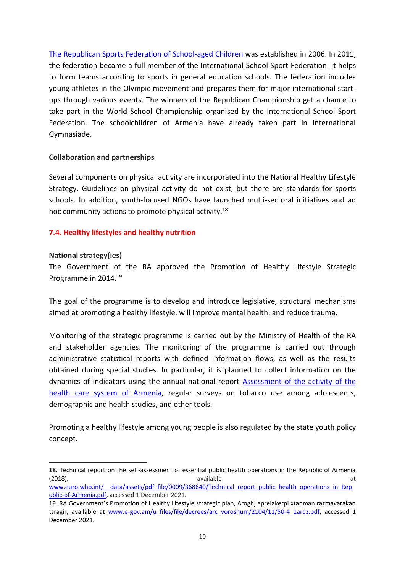[The Republican Sports Federation of School-aged Children](http://www.dprocakansport.am/#about) was established in 2006. In 2011, the federation became a full member of the International School Sport Federation. It helps to form teams according to sports in general education schools. The federation includes young athletes in the Olympic movement and prepares them for major international startups through various events. The winners of the Republican Championship get a chance to take part in the World School Championship organised by the International School Sport Federation. The schoolchildren of Armenia have already taken part in International Gymnasiade.

#### **Collaboration and partnerships**

Several components on physical activity are incorporated into the National Healthy Lifestyle Strategy. Guidelines on physical activity do not exist, but there are standards for sports schools. In addition, youth-focused NGOs have launched multi-sectoral initiatives and ad hoc community actions to promote physical activity.<sup>18</sup>

## <span id="page-9-0"></span>**7.4. Healthy lifestyles and healthy nutrition**

#### **National strategy(ies)**

The Government of the RA approved the Promotion of Healthy Lifestyle Strategic Programme in 2014. 19

The goal of the programme is to develop and introduce legislative, structural mechanisms aimed at promoting a healthy lifestyle, will improve mental health, and reduce trauma.

Monitoring of the strategic programme is carried out by the Ministry of Health of the RA and stakeholder agencies. The monitoring of the programme is carried out through administrative statistical reports with defined information flows, as well as the results obtained during special studies. In particular, it is planned to collect information on the dynamics of indicators using the annual national report [Assessment of the activity of the](http://nih.am/am/publications/report_yearbook_guide/1)  health [care system of Armenia,](http://nih.am/am/publications/report_yearbook_guide/1) regular surveys on tobacco use among adolescents, demographic and health studies, and other tools.

Promoting a healthy lifestyle among young people is also regulated by the state youth policy concept.

**<sup>18</sup>**. Technical report on the self-assessment of essential public health operations in the Republic of Armenia (2018), and the contract of the contract of the contract of the contract of the contract of the contract of the contract of the contract of the contract of the contract of the contract of the contract of the contract of th

www.euro.who.int/ data/assets/pdf\_file/0009/368640/Technical\_report\_public\_health\_operations\_in\_Rep [ublic-of-Armenia.pdf,](../../../../AppData/Local/Microsoft/Windows/INetCache/Content.Outlook/9IFE9BPP/www.euro.who.int/__data/assets/pdf_file/0009/368640/Technical_report_public_health_operations_in_Republic-of-Armenia.pdf) accessed 1 December 2021.

<sup>19</sup>. RA Government's Promotion of Healthy Lifestyle strategic plan, Aroghj aprelakerpi xtanman razmavarakan tsragir, available at www.e-gov.am/u files/file/decrees/arc\_voroshum/2104/11/50-4\_1ardz.pdf, accessed 1 December 2021.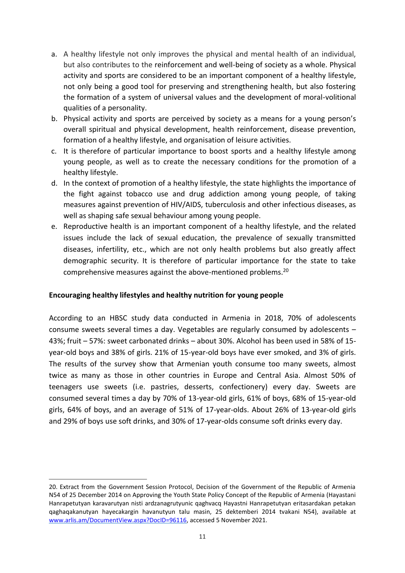- a. A healthy lifestyle not only improves the physical and mental health of an individual, but also contributes to the reinforcement and well-being of society as a whole. Physical activity and sports are considered to be an important component of a healthy lifestyle, not only being a good tool for preserving and strengthening health, but also fostering the formation of a system of universal values and the development of moral-volitional qualities of a personality.
- b. Physical activity and sports are perceived by society as a means for a young person's overall spiritual and physical development, health reinforcement, disease prevention, formation of a healthy lifestyle, and organisation of leisure activities.
- c. It is therefore of particular importance to boost sports and a healthy lifestyle among young people, as well as to create the necessary conditions for the promotion of a healthy lifestyle.
- d. In the context of promotion of a healthy lifestyle, the state highlights the importance of the fight against tobacco use and drug addiction among young people, of taking measures against prevention of HIV/AIDS, tuberculosis and other infectious diseases, as well as shaping safe sexual behaviour among young people.
- e. Reproductive health is an important component of a healthy lifestyle, and the related issues include the lack of sexual education, the prevalence of sexually transmitted diseases, infertility, etc., which are not only health problems but also greatly affect demographic security. It is therefore of particular importance for the state to take comprehensive measures against the above-mentioned problems. 20

## **Encouraging healthy lifestyles and healthy nutrition for young people**

According to an HBSC study data conducted in Armenia in 2018, 70% of adolescents consume sweets several times a day. Vegetables are regularly consumed by adolescents – 43%; fruit – 57%: sweet carbonated drinks – about 30%. Alcohol has been used in 58% of 15 year-old boys and 38% of girls. 21% of 15-year-old boys have ever smoked, and 3% of girls. The results of the survey show that Armenian youth consume too many sweets, almost twice as many as those in other countries in Europe and Central Asia. Almost 50% of teenagers use sweets (i.e. pastries, desserts, confectionery) every day. Sweets are consumed several times a day by 70% of 13-year-old girls, 61% of boys, 68% of 15-year-old girls, 64% of boys, and an average of 51% of 17-year-olds. About 26% of 13-year-old girls and 29% of boys use soft drinks, and 30% of 17-year-olds consume soft drinks every day.

<sup>20.</sup> Extract from the Government Session Protocol, Decision of the Government of the Republic of Armenia N54 of 25 December 2014 on Approving the Youth State Policy Concept of the Republic of Armenia (Hayastani Hanrapetutyan karavarutyan nisti ardzanagrutyunic qaghvacq Hayastni Hanrapetutyan eritasardakan petakan qaghaqakanutyan hayecakargin havanutyun talu masin, 25 dektemberi 2014 tvakani N54), available at [www.arlis.am/DocumentView.aspx?DocID=96116,](../../../../AppData/Local/Microsoft/Windows/INetCache/Content.Outlook/9IFE9BPP/www.arlis.am/DocumentView.aspx%3fDocID=96116) accessed 5 November 2021.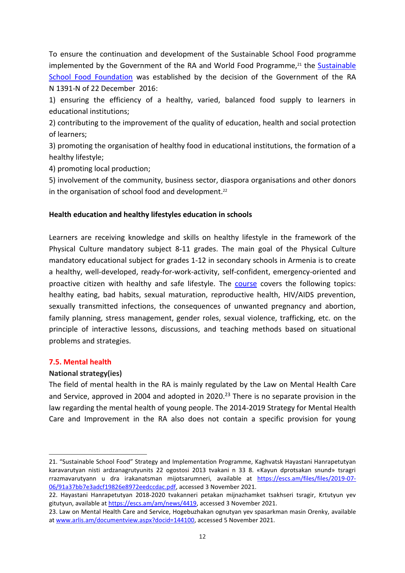To ensure the continuation and development of the Sustainable School Food programme implemented by the Government of the RA and World Food Programme,<sup>21</sup> the **Sustainable** [School Food Foundation](https://escs.am/am/news/4419) was established by the decision of the Government of the RA N 1391-N of 22 December 2016:

1) ensuring the efficiency of a healthy, varied, balanced food supply to learners in educational institutions;

2) contributing to the improvement of the quality of education, health and social protection of learners;

3) promoting the organisation of healthy food in educational institutions, the formation of a healthy lifestyle;

4) promoting local production;

5) involvement of the community, business sector, diaspora organisations and other donors in the organisation of school food and development. 22

## **Health education and healthy lifestyles education in schools**

Learners are receiving knowledge and skills on healthy lifestyle in the framework of the Physical Culture mandatory subject 8-11 grades. The main goal of the Physical Culture mandatory educational subject for grades 1-12 in secondary schools in Armenia is to create a healthy, well-developed, ready-for-work-activity, self-confident, emergency-oriented and proactive citizen with healthy and safe lifestyle. The [course](https://escs.am/files/files/2020-09-04/e2aa206565e5cec3a4302a59f712cf0d.pdf) covers the following topics: healthy eating, bad habits, sexual maturation, reproductive health, HIV/AIDS prevention, sexually transmitted infections, the consequences of unwanted pregnancy and abortion, family planning, stress management, gender roles, sexual violence, trafficking, etc. on the principle of interactive lessons, discussions, and teaching methods based on situational problems and strategies.

## <span id="page-11-0"></span>**7.5. Mental health**

## **National strategy(ies)**

The field of mental health in the RA is mainly regulated by the Law on Mental Health Care and Service, approved in 2004 and adopted in 2020. <sup>23</sup> There is no separate provision in the law regarding the mental health of young people. The 2014-2019 Strategy for Mental Health Care and Improvement in the RA also does not contain a specific provision for young

<sup>21</sup>. "Sustainable School Food" Strategy and Implementation Programme, Kaghvatsk Hayastani Hanrapetutyan karavarutyan nisti ardzanagrutyunits 22 ogostosi 2013 tvakani n 33 8. «Kayun dprotsakan snund» tsragri rrazmavarutyann u dra irakanatsman mijotsarumneri, available at [https://escs.am/files/files/2019-07-](https://escs.am/files/files/2019-07-06/91a37bb7e3adcf19826e8972eedccdac.pdf) [06/91a37bb7e3adcf19826e8972eedccdac.pdf,](https://escs.am/files/files/2019-07-06/91a37bb7e3adcf19826e8972eedccdac.pdf) accessed 3 November 2021.

<sup>22.</sup> Hayastani Hanrapetutyan 2018-2020 tvakanneri petakan mijnazhamket tsakhseri tsragir, Krtutyun yev gitutyun, available at [https://escs.am/am/news/4419,](https://escs.am/am/news/4419) accessed 3 November 2021.

<sup>23.</sup> Law on Mental Health Care and Service, Hogebuzhakan ognutyan yev spasarkman masin Orenky, available at [www.arlis.am/documentview.aspx?docid=144100,](../../../../AppData/Local/Microsoft/Windows/INetCache/Content.Outlook/9IFE9BPP/www.arlis.am/documentview.aspx%3fdocid=144100) accessed 5 November 2021.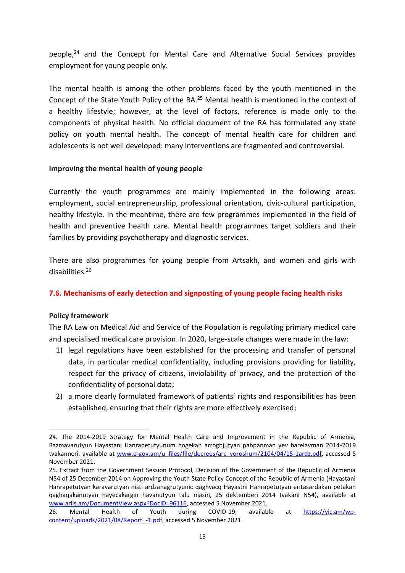people, <sup>24</sup> and the Concept for Mental Care and Alternative Social Services provides employment for young people only.

The mental health is among the other problems faced by the youth mentioned in the Concept of the State Youth Policy of the RA.<sup>25</sup> Mental health is mentioned in the context of a healthy lifestyle; however, at the level of factors, reference is made only to the components of physical health. No official document of the RA has formulated any state policy on youth mental health. The concept of mental health care for children and adolescents is not well developed: many interventions are fragmented and controversial.

#### **Improving the mental health of young people**

Currently the youth programmes are mainly implemented in the following areas: employment, social entrepreneurship, professional orientation, civic-cultural participation, healthy lifestyle. In the meantime, there are few programmes implemented in the field of health and preventive health care. Mental health programmes target soldiers and their families by providing psychotherapy and diagnostic services.

There are also programmes for young people from Artsakh, and women and girls with disabilities. 26

## <span id="page-12-0"></span>**7.6. Mechanisms of early detection and signposting of young people facing health risks**

#### **Policy framework**

The RA Law on Medical Aid and Service of the Population is regulating primary medical care and specialised medical care provision. In 2020, large-scale changes were made in the law:

- 1) legal regulations have been established for the processing and transfer of personal data, in particular medical confidentiality, including provisions providing for liability, respect for the privacy of citizens, inviolability of privacy, and the protection of the confidentiality of personal data;
- 2) a more clearly formulated framework of patients' rights and responsibilities has been established, ensuring that their rights are more effectively exercised;

<sup>24.</sup> The 2014-2019 Strategy for Mental Health Care and Improvement in the Republic of Armenia, Razmavarutyun Hayastani Hanrapetutyunum hogekan arroghjutyan pahpanman yev barelavman 2014-2019 tvakanneri, available at [www.e-gov.am/u\\_files/file/decrees/arc\\_voroshum/2104/04/15-1ardz.pdf,](../../../../AppData/Local/Microsoft/Windows/INetCache/Content.Outlook/9IFE9BPP/www.e-gov.am/u_files/file/decrees/arc_voroshum/2104/04/15-1ardz.pdf) accessed 5 November 2021.

<sup>25.</sup> Extract from the Government Session Protocol, Decision of the Government of the Republic of Armenia N54 of 25 December 2014 on Approving the Youth State Policy Concept of the Republic of Armenia (Hayastani Hanrapetutyan karavarutyan nisti ardzanagrutyunic qaghvacq Hayastni Hanrapetutyan eritasardakan petakan qaghaqakanutyan hayecakargin havanutyun talu masin, 25 dektemberi 2014 tvakani N54), available at [www.arlis.am/DocumentView.aspx?DocID=96116,](../../../../AppData/Local/Microsoft/Windows/INetCache/Content.Outlook/9IFE9BPP/www.arlis.am/DocumentView.aspx%3fDocID=96116) accessed 5 November 2021.

<sup>26.</sup> Mental Health of Youth during COVID-19, available at [https://yic.am/wp](https://yic.am/wp-content/uploads/2021/08/Report_-1.pdf)[content/uploads/2021/08/Report\\_-1.pdf,](https://yic.am/wp-content/uploads/2021/08/Report_-1.pdf) accessed 5 November 2021.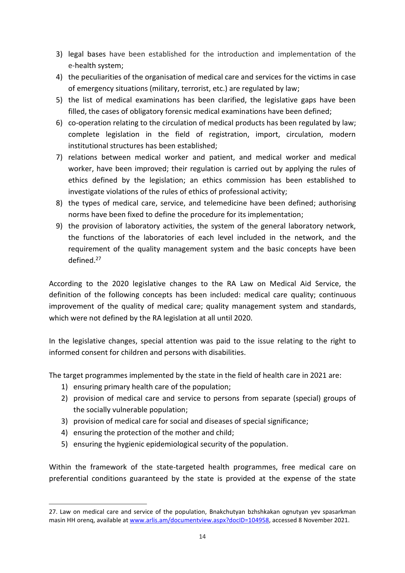- 3) legal bases have been established for the introduction and implementation of the e-health system;
- 4) the peculiarities of the organisation of medical care and services for the victims in case of emergency situations (military, terrorist, etc.) are regulated by law;
- 5) the list of medical examinations has been clarified, the legislative gaps have been filled, the cases of obligatory forensic medical examinations have been defined;
- 6) co-operation relating to the circulation of medical products has been regulated by law; complete legislation in the field of registration, import, circulation, modern institutional structures has been established;
- 7) relations between medical worker and patient, and medical worker and medical worker, have been improved; their regulation is carried out by applying the rules of ethics defined by the legislation; an ethics commission has been established to investigate violations of the rules of ethics of professional activity;
- 8) the types of medical care, service, and telemedicine have been defined; authorising norms have been fixed to define the procedure for its implementation;
- 9) the provision of laboratory activities, the system of the general laboratory network, the functions of the laboratories of each level included in the network, and the requirement of the quality management system and the basic concepts have been defined. 27

According to the 2020 legislative changes to the RA Law on Medical Aid Service, the definition of the following concepts has been included: medical care quality; continuous improvement of the quality of medical care; quality management system and standards, which were not defined by the RA legislation at all until 2020.

In the legislative changes, special attention was paid to the issue relating to the right to informed consent for children and persons with disabilities.

The target programmes implemented by the state in the field of health care in 2021 are:

- 1) ensuring primary health care of the population;
- 2) provision of medical care and service to persons from separate (special) groups of the socially vulnerable population;
- 3) provision of medical care for social and diseases of special significance;
- 4) ensuring the protection of the mother and child;
- 5) ensuring the hygienic epidemiological security of the population.

Within the framework of the state-targeted health programmes, free medical care on preferential conditions guaranteed by the state is provided at the expense of the state

<sup>27.</sup> Law on medical care and service of the population, Bnakchutyan bzhshkakan ognutyan yev spasarkman masin HH orenq, available at [www.arlis.am/documentview.aspx?docID=104958,](../../../../AppData/Local/Microsoft/Windows/INetCache/Content.Outlook/9IFE9BPP/www.arlis.am/documentview.aspx%3fdocID=104958) accessed 8 November 2021.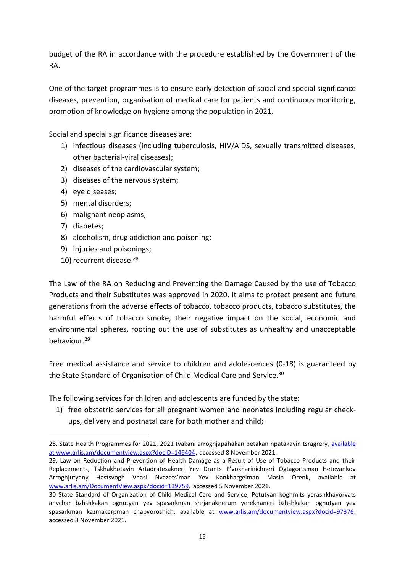budget of the RA in accordance with the procedure established by the Government of the RA.

One of the target programmes is to ensure early detection of social and special significance diseases, prevention, organisation of medical care for patients and continuous monitoring, promotion of knowledge on hygiene among the population in 2021.

Social and special significance diseases are:

- 1) infectious diseases (including tuberculosis, HIV/AIDS, sexually transmitted diseases, other bacterial-viral diseases);
- 2) diseases of the cardiovascular system;
- 3) diseases of the nervous system;
- 4) eye diseases;
- 5) mental disorders;
- 6) malignant neoplasms;
- 7) diabetes;
- 8) alcoholism, drug addiction and poisoning;
- 9) injuries and poisonings;
- 10) recurrent disease. 28

The Law of the RA on Reducing and Preventing the Damage Caused by the use of Tobacco Products and their Substitutes was approved in 2020. It aims to protect present and future generations from the adverse effects of tobacco, tobacco products, tobacco substitutes, the harmful effects of tobacco smoke, their negative impact on the social, economic and environmental spheres, rooting out the use of substitutes as unhealthy and unacceptable behaviour. 29

Free medical assistance and service to children and adolescences (0-18) is guaranteed by the State Standard of Organisation of Child Medical Care and Service.<sup>30</sup>

The following services for children and adolescents are funded by the state:

1) free obstetric services for all pregnant women and neonates including regular checkups, delivery and postnatal care for both mother and child;

<sup>28.</sup> State Health Programmes for 2021, 2021 tvakani arroghjapahakan petakan npatakayin tsragrery, available at www.arlis.am/documentview.aspx?docID=146404, accessed 8 November 2021.

<sup>29.</sup> Law on Reduction and Prevention of Health Damage as a Result of Use of Tobacco Products and their Replacements, Tskhakhotayin Artadratesakneri Yev Drants P'vokharinichneri Ogtagortsman Hetevankov Arroghjutyany Hastsvogh Vnasi Nvazets'man Yev Kankhargelman Masin Orenk, available at [www.arlis.am/DocumentView.aspx?docid=139759](../../../../AppData/Local/Microsoft/Windows/INetCache/Content.Outlook/9IFE9BPP/www.arlis.am/DocumentView.aspx%3fdocid=139759), accessed 5 November 2021.

<sup>30</sup> State Standard of Organization of Child Medical Care and Service, Petutyan koghmits yerashkhavorvats anvchar bzhshkakan ognutyan yev spasarkman shrjanaknerum yerekhaneri bzhshkakan ognutyan yev spasarkman kazmakerpman chapvoroshich, available at [www.arlis.am/documentview.aspx?docid=97376](../../../../AppData/Local/Microsoft/Windows/INetCache/Content.Outlook/9IFE9BPP/www.arlis.am/documentview.aspx%3fdocid=97376), accessed 8 November 2021.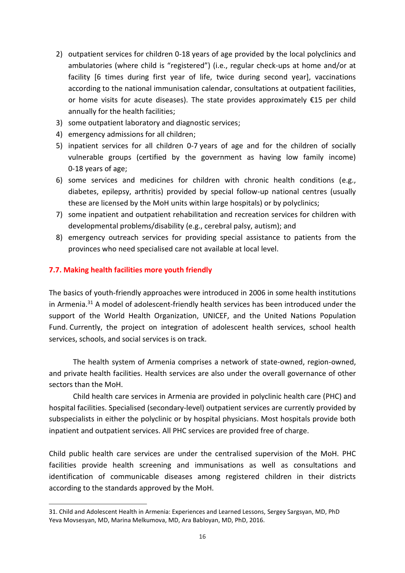- 2) outpatient services for children 0-18 years of age provided by the local polyclinics and ambulatories (where child is "registered") (i.e., regular check-ups at home and/or at facility [6 times during first year of life, twice during second year], vaccinations according to the national immunisation calendar, consultations at outpatient facilities, or home visits for acute diseases). The state provides approximately €15 per child annually for the health facilities;
- 3) some outpatient laboratory and diagnostic services;
- 4) emergency admissions for all children;
- 5) inpatient services for all children 0-7 years of age and for the children of socially vulnerable groups (certified by the government as having low family income) 0-18 years of age;
- 6) some services and medicines for children with chronic health conditions (e.g., diabetes, epilepsy, arthritis) provided by special follow-up national centres (usually these are licensed by the MoH units within large hospitals) or by polyclinics;
- 7) some inpatient and outpatient rehabilitation and recreation services for children with developmental problems/disability (e.g., cerebral palsy, autism); and
- 8) emergency outreach services for providing special assistance to patients from the provinces who need specialised care not available at local level.

## <span id="page-15-0"></span>**7.7. Making health facilities more youth friendly**

The basics of youth-friendly approaches were introduced in 2006 in some health institutions in Armenia.<sup>31</sup> A model of adolescent-friendly health services has been introduced under the support of the World Health Organization, UNICEF, and the United Nations Population Fund. Currently, the project on integration of adolescent health services, school health services, schools, and social services is on track.

The health system of Armenia comprises a network of state-owned, region-owned, and private health facilities. Health services are also under the overall governance of other sectors than the MoH.

Child health care services in Armenia are provided in polyclinic health care (PHC) and hospital facilities. Specialised (secondary-level) outpatient services are currently provided by subspecialists in either the polyclinic or by hospital physicians. Most hospitals provide both inpatient and outpatient services. All PHC services are provided free of charge.

Child public health care services are under the centralised supervision of the MoH. PHC facilities provide health screening and immunisations as well as consultations and identification of communicable diseases among registered children in their districts according to the standards approved by the MoH.

<sup>31.</sup> Child and Adolescent Health in Armenia: Experiences and Learned Lessons, [Sergey Sargsyan, MD, PhD](https://www.jpeds.com/article/S0022-3476(16)30141-X/fulltext) [Yeva Movsesyan, MD, Marina Melkumova, MD, Ara Babloyan, MD, PhD,](https://www.jpeds.com/article/S0022-3476(16)30141-X/fulltext) 2016.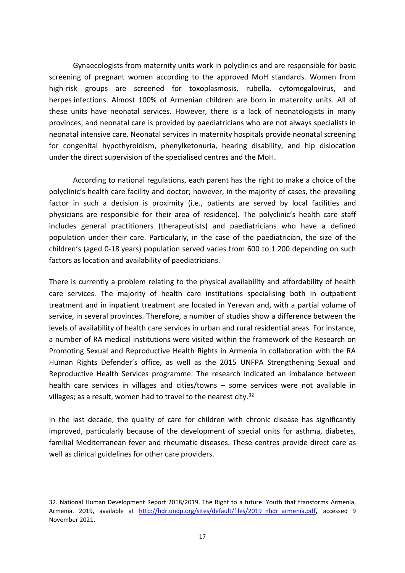Gynaecologists from maternity units work in polyclinics and are responsible for basic screening of pregnant women according to the approved MoH standards. Women from high-risk groups are screened for toxoplasmosis, rubella, cytomegalovirus, and herpes infections. Almost 100% of Armenian children are born in maternity units. All of these units have neonatal services. However, there is a lack of neonatologists in many provinces, and neonatal care is provided by paediatricians who are not always specialists in neonatal intensive care. Neonatal services in maternity hospitals provide neonatal screening for congenital hypothyroidism, phenylketonuria, hearing disability, and hip dislocation under the direct supervision of the specialised centres and the MoH.

According to national regulations, each parent has the right to make a choice of the polyclinic's health care facility and doctor; however, in the majority of cases, the prevailing factor in such a decision is proximity (i.e., patients are served by local facilities and physicians are responsible for their area of residence). The polyclinic's health care staff includes general practitioners (therapeutists) and paediatricians who have a defined population under their care. Particularly, in the case of the paediatrician, the size of the children's (aged 0-18 years) population served varies from 600 to 1 200 depending on such factors as location and availability of paediatricians.

There is currently a problem relating to the physical availability and affordability of health care services. The majority of health care institutions specialising both in outpatient treatment and in inpatient treatment are located in Yerevan and, with a partial volume of service, in several provinces. Therefore, a number of studies show a difference between the levels of availability of health care services in urban and rural residential areas. For instance, a number of RA medical institutions were visited within the framework of the Research on Promoting Sexual and Reproductive Health Rights in Armenia in collaboration with the RA Human Rights Defender's office, as well as the 2015 UNFPA Strengthening Sexual and Reproductive Health Services programme. The research indicated an imbalance between health care services in villages and cities/towns – some services were not available in villages; as a result, women had to travel to the nearest city.<sup>32</sup>

In the last decade, the quality of care for children with chronic disease has significantly improved, particularly because of the development of special units for asthma, diabetes, familial Mediterranean fever and rheumatic diseases. These centres provide direct care as well as clinical guidelines for other care providers.

<sup>32.</sup> National Human Development Report 2018/2019. The Right to a future: Youth that transforms Armenia, Armenia. 2019, available at http://hdr.undp.org/sites/default/files/2019 nhdr armenia.pdf, accessed 9 November 2021.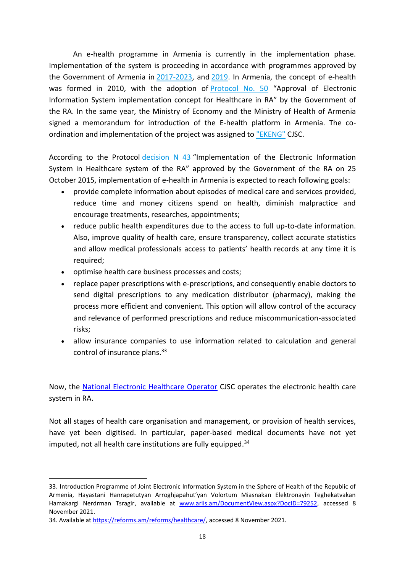An e-health programme in Armenia is currently in the implementation phase. Implementation of the system is proceeding in accordance with programmes approved by the Government of Armenia in [2017-2023,](http://www.gov.am/files/docs/2207.pdf) and [2019.](http://www.gov.am/files/docs/2207.pdf) In Armenia, the concept of e-health was formed in 2010, with the adoption of **[Protocol No. 50](http://www.irtek.am/views/act.aspx?aid=61700)** "Approval of Electronic Information System implementation concept for Healthcare in RA" by the Government of the RA. In the same year, the Ministry of Economy and the Ministry of Health of Armenia signed a memorandum for introduction of the E-health platform in Armenia. The co-ordination and implementation of the project was assigned to ["EKENG"](https://www.ekeng.am/) CJSC.

According to the Protocol [decision N 43](https://www.arlis.am/DocumentView.aspx?DocID=79252) "Implementation of the Electronic Information System in Healthcare system of the RA" approved by the Government of the RA on 25 October 2015, implementation of e-health in Armenia is expected to reach following goals:

- provide complete information about episodes of medical care and services provided, reduce time and money citizens spend on health, diminish malpractice and encourage treatments, researches, appointments;
- reduce public health expenditures due to the access to full up-to-date information. Also, improve quality of health care, ensure transparency, collect accurate statistics and allow medical professionals access to patients' health records at any time it is required;
- optimise health care business processes and costs;
- replace paper prescriptions with e-prescriptions, and consequently enable doctors to send digital prescriptions to any medication distributor (pharmacy), making the process more efficient and convenient. This option will allow control of the accuracy and relevance of performed prescriptions and reduce miscommunication-associated risks;
- allow insurance companies to use information related to calculation and general control of insurance plans.<sup>33</sup>

Now, the [National Electronic Healthcare Operator](https://corporate.armed.am/en/about-us) CJSC operates the electronic health care system in RA.

Not all stages of health care organisation and management, or provision of health services, have yet been digitised. In particular, paper-based medical documents have not yet imputed, not all health care institutions are fully equipped. $34$ 

<sup>33.</sup> Introduction Programme of Joint Electronic Information System in the Sphere of Health of the Republic of Armenia, Hayastani Hanrapetutyan Arroghjapahut'yan Volortum Miasnakan Elektronayin Teghekatvakan Hamakargi Nerdrman Tsragir, available at [www.arlis.am/DocumentView.aspx?DocID=79252,](../../../../AppData/Local/Microsoft/Windows/INetCache/Content.Outlook/9IFE9BPP/www.arlis.am/DocumentView.aspx%3fDocID=79252) accessed 8 November 2021.

<sup>34.</sup> Available at [https://reforms.am/reforms/healthcare/,](https://reforms.am/reforms/healthcare/) accessed 8 November 2021.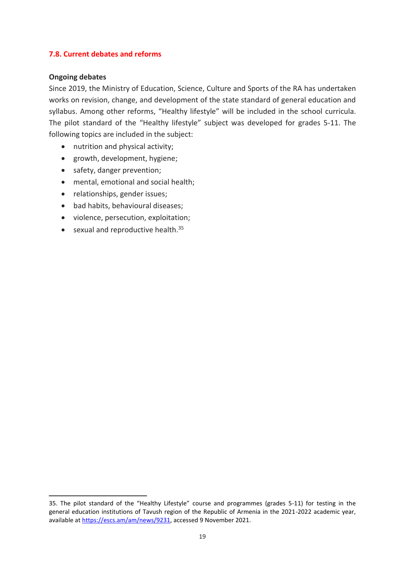## <span id="page-18-0"></span>**7.8. Current debates and reforms**

#### **Ongoing debates**

Since 2019, the Ministry of Education, Science, Culture and Sports of the RA has undertaken works on revision, change, and development of the state standard of general education and syllabus. Among other reforms, "Healthy lifestyle" will be included in the school curricula. The pilot standard of the "Healthy lifestyle" subject was developed for grades 5-11. The following topics are included in the subject:

- nutrition and physical activity;
- growth, development, hygiene;
- safety, danger prevention;
- mental, emotional and social health;
- relationships, gender issues;
- bad habits, behavioural diseases;
- violence, persecution, exploitation;
- sexual and reproductive health.<sup>35</sup>

<sup>35</sup>. The pilot standard of the "Healthy Lifestyle" course and programmes (grades 5-11) for testing in the general education institutions of Tavush region of the Republic of Armenia in the 2021-2022 academic year, available at [https://escs.am/am/news/9231,](https://escs.am/am/news/9231) accessed 9 November 2021.